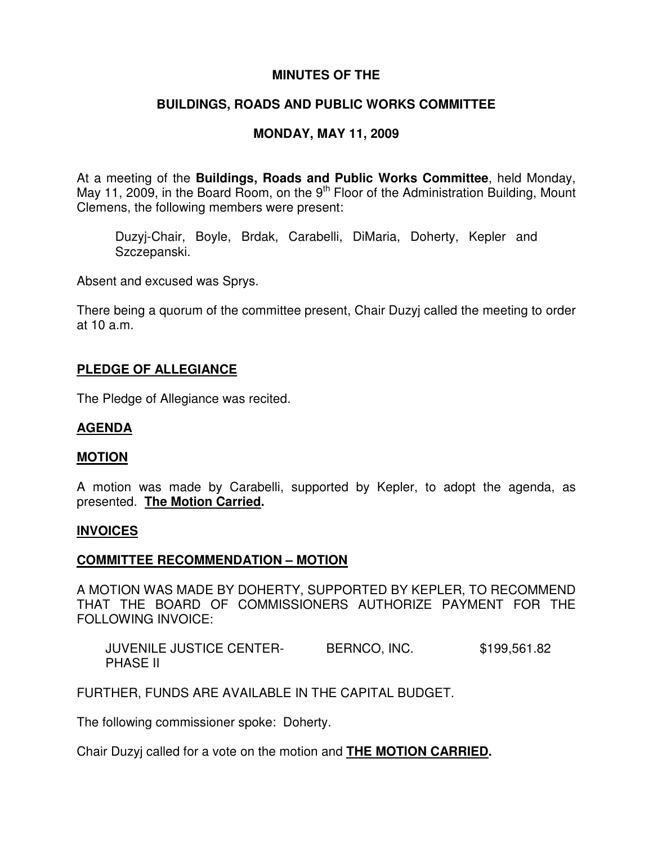# **MINUTES OF THE**

# **BUILDINGS, ROADS AND PUBLIC WORKS COMMITTEE**

# **MONDAY, MAY 11, 2009**

At a meeting of the **Buildings, Roads and Public Works Committee**, held Monday, May 11, 2009, in the Board Room, on the 9<sup>th</sup> Floor of the Administration Building, Mount Clemens, the following members were present:

Duzyj-Chair, Boyle, Brdak, Carabelli, DiMaria, Doherty, Kepler and Szczepanski.

Absent and excused was Sprys.

There being a quorum of the committee present, Chair Duzyj called the meeting to order at 10 a.m.

## **PLEDGE OF ALLEGIANCE**

The Pledge of Allegiance was recited.

# **AGENDA**

### **MOTION**

A motion was made by Carabelli, supported by Kepler, to adopt the agenda, as presented. **The Motion Carried.**

### **INVOICES**

### **COMMITTEE RECOMMENDATION – MOTION**

A MOTION WAS MADE BY DOHERTY, SUPPORTED BY KEPLER, TO RECOMMEND THAT THE BOARD OF COMMISSIONERS AUTHORIZE PAYMENT FOR THE FOLLOWING INVOICE:

JUVENILE JUSTICE CENTER-<br>BERNCO, INC. \$199,561.82 PHASE II

FURTHER, FUNDS ARE AVAILABLE IN THE CAPITAL BUDGET.

The following commissioner spoke: Doherty.

Chair Duzyj called for a vote on the motion and **THE MOTION CARRIED.**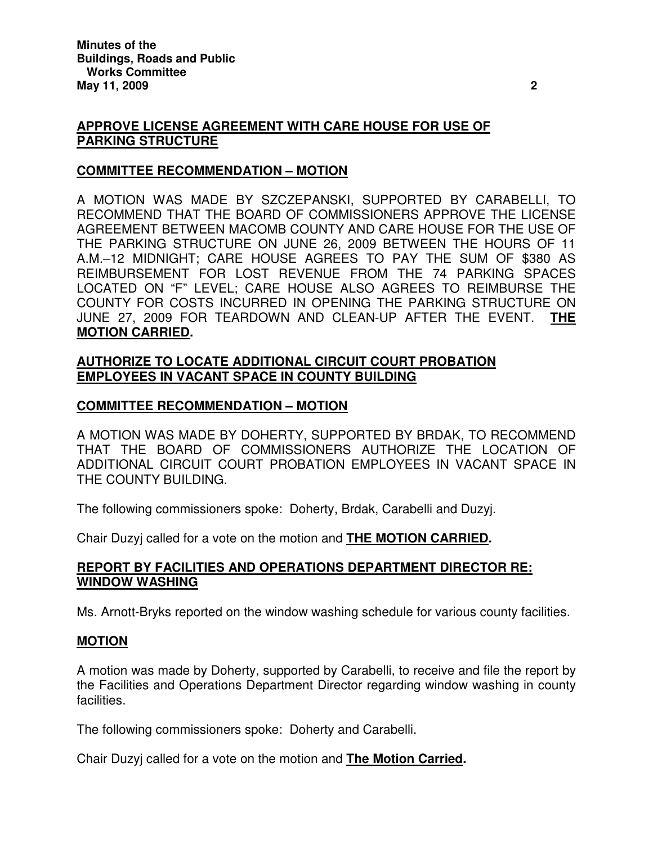# **APPROVE LICENSE AGREEMENT WITH CARE HOUSE FOR USE OF PARKING STRUCTURE**

## **COMMITTEE RECOMMENDATION – MOTION**

A MOTION WAS MADE BY SZCZEPANSKI, SUPPORTED BY CARABELLI, TO RECOMMEND THAT THE BOARD OF COMMISSIONERS APPROVE THE LICENSE AGREEMENT BETWEEN MACOMB COUNTY AND CARE HOUSE FOR THE USE OF THE PARKING STRUCTURE ON JUNE 26, 2009 BETWEEN THE HOURS OF 11 A.M.–12 MIDNIGHT; CARE HOUSE AGREES TO PAY THE SUM OF \$380 AS REIMBURSEMENT FOR LOST REVENUE FROM THE 74 PARKING SPACES LOCATED ON "F" LEVEL; CARE HOUSE ALSO AGREES TO REIMBURSE THE COUNTY FOR COSTS INCURRED IN OPENING THE PARKING STRUCTURE ON JUNE 27, 2009 FOR TEARDOWN AND CLEAN-UP AFTER THE EVENT. **THE MOTION CARRIED.**

# **AUTHORIZE TO LOCATE ADDITIONAL CIRCUIT COURT PROBATION EMPLOYEES IN VACANT SPACE IN COUNTY BUILDING**

## **COMMITTEE RECOMMENDATION – MOTION**

A MOTION WAS MADE BY DOHERTY, SUPPORTED BY BRDAK, TO RECOMMEND THAT THE BOARD OF COMMISSIONERS AUTHORIZE THE LOCATION OF ADDITIONAL CIRCUIT COURT PROBATION EMPLOYEES IN VACANT SPACE IN THE COUNTY BUILDING.

The following commissioners spoke: Doherty, Brdak, Carabelli and Duzyj.

Chair Duzyj called for a vote on the motion and **THE MOTION CARRIED.**

## **REPORT BY FACILITIES AND OPERATIONS DEPARTMENT DIRECTOR RE: WINDOW WASHING**

Ms. Arnott-Bryks reported on the window washing schedule for various county facilities.

### **MOTION**

A motion was made by Doherty, supported by Carabelli, to receive and file the report by the Facilities and Operations Department Director regarding window washing in county facilities.

The following commissioners spoke: Doherty and Carabelli.

Chair Duzyj called for a vote on the motion and **The Motion Carried.**